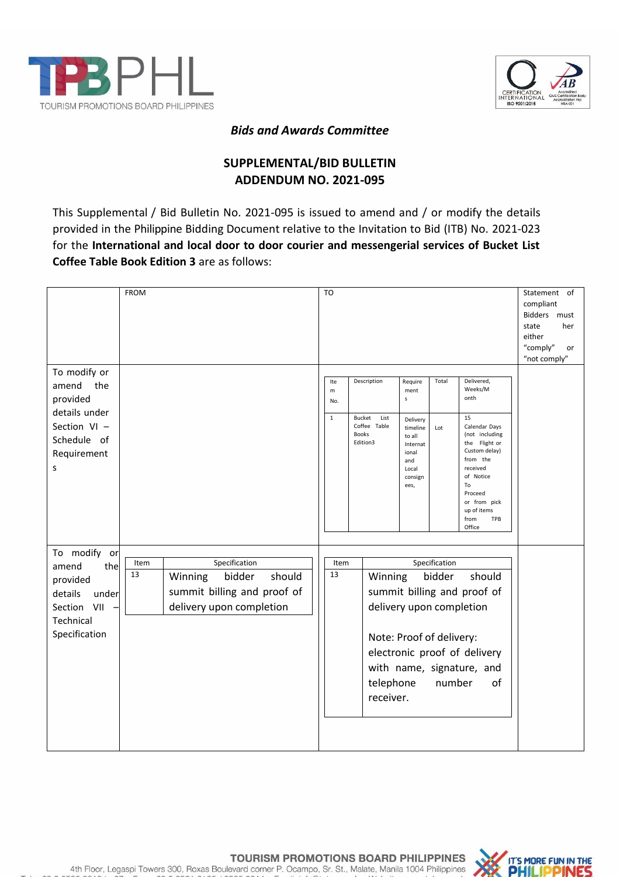



## *Bids and Awards Committee*

## **SUPPLEMENTAL/BID BULLETIN ADDENDUM NO. 2021-095**

This Supplemental / Bid Bulletin No. 2021-095 is issued to amend and / or modify the details provided in the Philippine Bidding Document relative to the Invitation to Bid (ITB) No. 2021-023 for the **International and local door to door courier and messengerial services of Bucket List Coffee Table Book Edition 3** are as follows:

|                                                                                                                 | <b>FROM</b>                                                                                                           | T <sub>O</sub>                                                                                       |                                                                                                                                                                                       |                                   |                                                                                                                                                                                                                        | Statement of<br>compliant<br>Bidders must<br>state<br>her<br>either<br>"comply"<br>or<br>"not comply" |
|-----------------------------------------------------------------------------------------------------------------|-----------------------------------------------------------------------------------------------------------------------|------------------------------------------------------------------------------------------------------|---------------------------------------------------------------------------------------------------------------------------------------------------------------------------------------|-----------------------------------|------------------------------------------------------------------------------------------------------------------------------------------------------------------------------------------------------------------------|-------------------------------------------------------------------------------------------------------|
| To modify or<br>amend<br>the<br>provided<br>details under<br>Section VI -<br>Schedule of<br>Requirement<br>S    |                                                                                                                       | Description<br>Ite<br>m<br>No.<br>$\mathbf{1}$<br>Bucket<br>Coffee Table<br><b>Books</b><br>Edition3 | Require<br>ment<br>$\sf s$<br>List<br>Delivery<br>timeline<br>to all<br>Internat<br>ional<br>and<br>Local<br>consign<br>ees,                                                          | Total<br>Lot                      | Delivered,<br>Weeks/M<br>onth<br>15<br>Calendar Days<br>(not including<br>the Flight or<br>Custom delay)<br>from the<br>received<br>of Notice<br>To<br>Proceed<br>or from pick<br>up of items<br>from<br>TPB<br>Office |                                                                                                       |
| To modify<br>or<br>amend<br>the<br>provided<br>details<br>under<br>Section<br>VII<br>Technical<br>Specification | Specification<br>Item<br>13<br>Winning<br>bidder<br>should<br>summit billing and proof of<br>delivery upon completion | Item<br>13                                                                                           | Winning<br>summit billing and proof of<br>delivery upon completion<br>Note: Proof of delivery:<br>electronic proof of delivery<br>with name, signature, and<br>telephone<br>receiver. | Specification<br>bidder<br>number | should<br>of                                                                                                                                                                                                           |                                                                                                       |

TOURISM PROMOTIONS BOARD PHILIPPINES 4th Floor, Legaspi Towers 300, Roxas Boulevard corner P. Ocampo, Sr. St., Malate, Manila 1004 Philippines